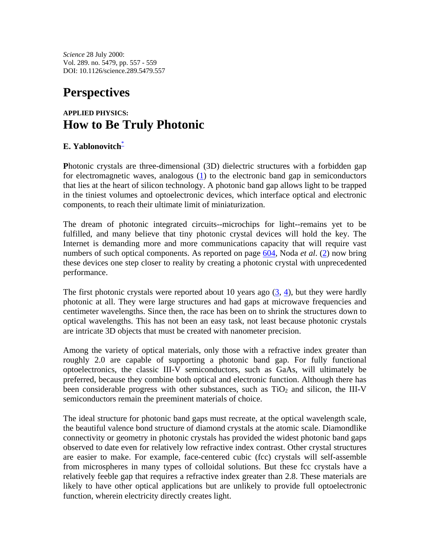*Science* 28 July 2000: Vol. 289. no. 5479, pp. 557 - 559 DOI: 10.1126/science.289.5479.557

## **Perspectives**

## **APPLIED PHYSICS: How to Be Truly Photonic**

## **E. Yablonovitch**\*

**P**hotonic crystals are three-dimensional (3D) dielectric structures with a forbidden gap for electromagnetic waves, analogous (1) to the electronic band gap in semiconductors that lies at the heart of silicon technology. A photonic band gap allows light to be trapped in the tiniest volumes and optoelectronic devices, which interface optical and electronic components, to reach their ultimate limit of miniaturization.

The dream of photonic integrated circuits--microchips for light--remains yet to be fulfilled, and many believe that tiny photonic crystal devices will hold the key. The Internet is demanding more and more communications capacity that will require vast numbers of such optical components. As reported on page 604, Noda *et al*. (2) now bring these devices one step closer to reality by creating a photonic crystal with unprecedented performance.

The first photonic crystals were reported about 10 years ago  $(3, 4)$ , but they were hardly photonic at all. They were large structures and had gaps at microwave frequencies and centimeter wavelengths. Since then, the race has been on to shrink the structures down to optical wavelengths. This has not been an easy task, not least because photonic crystals are intricate 3D objects that must be created with nanometer precision.

Among the variety of optical materials, only those with a refractive index greater than roughly 2.0 are capable of supporting a photonic band gap. For fully functional optoelectronics, the classic III-V semiconductors, such as GaAs, will ultimately be preferred, because they combine both optical and electronic function. Although there has been considerable progress with other substances, such as  $TiO<sub>2</sub>$  and silicon, the III-V semiconductors remain the preeminent materials of choice.

The ideal structure for photonic band gaps must recreate, at the optical wavelength scale, the beautiful valence bond structure of diamond crystals at the atomic scale. Diamondlike connectivity or geometry in photonic crystals has provided the widest photonic band gaps observed to date even for relatively low refractive index contrast. Other crystal structures are easier to make. For example, face-centered cubic (fcc) crystals will self-assemble from microspheres in many types of colloidal solutions. But these fcc crystals have a relatively feeble gap that requires a refractive index greater than 2.8. These materials are likely to have other optical applications but are unlikely to provide full optoelectronic function, wherein electricity directly creates light.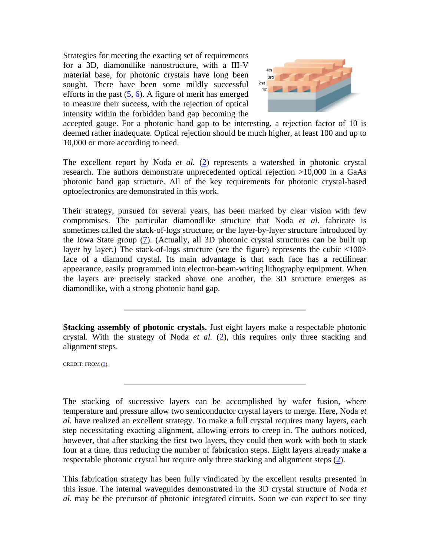Strategies for meeting the exacting set of requirements for a 3D, diamondlike nanostructure, with a III-V material base, for photonic crystals have long been sought. There have been some mildly successful efforts in the past  $(5, 6)$ . A figure of merit has emerged to measure their success, with the rejection of optical intensity within the forbidden band gap becoming the



accepted gauge. For a photonic band gap to be interesting, a rejection factor of 10 is deemed rather inadequate. Optical rejection should be much higher, at least 100 and up to 10,000 or more according to need.

The excellent report by Noda *et al.* (2) represents a watershed in photonic crystal research. The authors demonstrate unprecedented optical rejection >10,000 in a GaAs photonic band gap structure. All of the key requirements for photonic crystal-based optoelectronics are demonstrated in this work.

Their strategy, pursued for several years, has been marked by clear vision with few compromises. The particular diamondlike structure that Noda *et al.* fabricate is sometimes called the stack-of-logs structure, or the layer-by-layer structure introduced by the Iowa State group (7). (Actually, all 3D photonic crystal structures can be built up layer by layer.) The stack-of-logs structure (see the figure) represents the cubic <100> face of a diamond crystal. Its main advantage is that each face has a rectilinear appearance, easily programmed into electron-beam-writing lithography equipment. When the layers are precisely stacked above one another, the 3D structure emerges as diamondlike, with a strong photonic band gap.

**Stacking assembly of photonic crystals.** Just eight layers make a respectable photonic crystal. With the strategy of Noda *et al.* (2), this requires only three stacking and alignment steps.

CREDIT: FROM (3).

The stacking of successive layers can be accomplished by wafer fusion, where temperature and pressure allow two semiconductor crystal layers to merge. Here, Noda *et al.* have realized an excellent strategy. To make a full crystal requires many layers, each step necessitating exacting alignment, allowing errors to creep in. The authors noticed, however, that after stacking the first two layers, they could then work with both to stack four at a time, thus reducing the number of fabrication steps. Eight layers already make a respectable photonic crystal but require only three stacking and alignment steps (2).

This fabrication strategy has been fully vindicated by the excellent results presented in this issue. The internal waveguides demonstrated in the 3D crystal structure of Noda *et al.* may be the precursor of photonic integrated circuits. Soon we can expect to see tiny